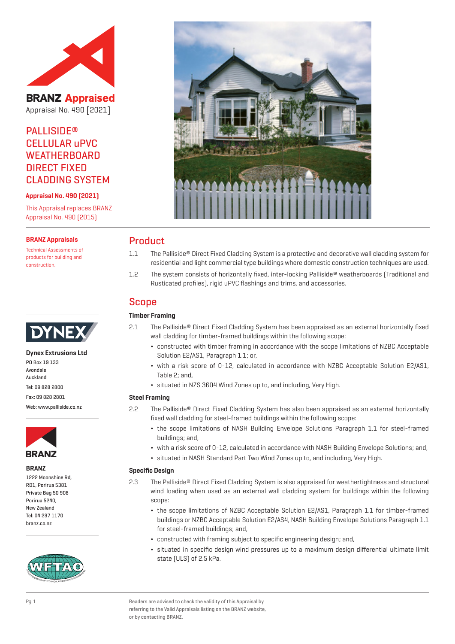

**BRANZ Appraised** Appraisal No. 490 [2021]

# **PALLISIDE®** CELLULAR uPVC **WEATHERBOARD** DIRECT FIXED CLADDING SYSTEM

**Appraisal No. 490 (2021)**

This Appraisal replaces BRANZ Appraisal No. 490 (2015)

#### **BRANZ Appraisals**

Technical Assessments of products for building and construction.



#### **Dynex Extrusions Ltd**

PO Box 19 133 **Avondale** Auckland Tel: 09 828 2800 Fax: 09 828 2801

Web: www.palliside.co.nz



**BRANZ**

1222 Moonshine Rd, RD1, Porirua 5381 Private Bag 50 908 Porirua 5240, New Zealand Tel: 04 237 1170 branz.co.nz





## Product

- 1.1 The Palliside® Direct Fixed Cladding System is a protective and decorative wall cladding system for residential and light commercial type buildings where domestic construction techniques are used.
- 1.2 The system consists of horizontally fixed, inter-locking Palliside® weatherboards (Traditional and Rusticated profiles), rigid uPVC flashings and trims, and accessories.

# Scope

## **Timber Framing**

- 2.1 The Palliside® Direct Fixed Cladding System has been appraised as an external horizontally fixed wall cladding for timber-framed buildings within the following scope:
	- ¬ constructed with timber framing in accordance with the scope limitations of NZBC Acceptable Solution E2/AS1, Paragraph 1.1; or,
	- ¬ with a risk score of 0-12, calculated in accordance with NZBC Acceptable Solution E2/AS1, Table 2; and,
	- ¬ situated in NZS 3604 Wind Zones up to, and including, Very High.

#### **Steel Framing**

- 2.2 The Palliside® Direct Fixed Cladding System has also been appraised as an external horizontally fixed wall cladding for steel-framed buildings within the following scope:
	- ¬ the scope limitations of NASH Building Envelope Solutions Paragraph 1.1 for steel-framed buildings; and,
	- ¬ with a risk score of 0-12, calculated in accordance with NASH Building Envelope Solutions; and,
	- ¬ situated in NASH Standard Part Two Wind Zones up to, and including, Very High.

#### **Specific Design**

- 2.3 The Palliside® Direct Fixed Cladding System is also appraised for weathertightness and structural wind loading when used as an external wall cladding system for buildings within the following scope:
	- ¬ the scope limitations of NZBC Acceptable Solution E2/AS1, Paragraph 1.1 for timber-framed buildings or NZBC Acceptable Solution E2/AS4, NASH Building Envelope Solutions Paragraph 1.1 for steel-framed buildings; and,
	- ¬ constructed with framing subject to specific engineering design; and,
	- ¬ situated in specific design wind pressures up to a maximum design differential ultimate limit state (ULS) of 2.5 kPa.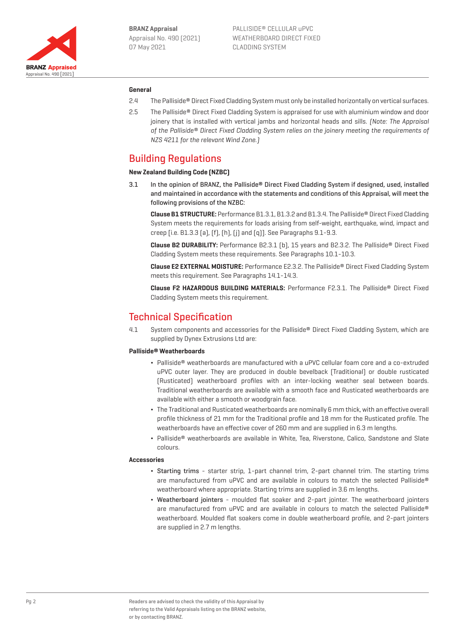

#### **General**

- 2.4 The Palliside® Direct Fixed Cladding System must only be installed horizontally on vertical surfaces.
- 2.5 The Palliside® Direct Fixed Cladding System is appraised for use with aluminium window and door joinery that is installed with vertical jambs and horizontal heads and sills. [Note: The Appraisal of the Palliside® Direct Fixed Cladding System relies on the joinery meeting the requirements of NZS 4211 for the relevant Wind Zone.)

## Building Regulations

#### **New Zealand Building Code (NZBC)**

3.1 In the opinion of BRANZ, the Palliside® Direct Fixed Cladding System if designed, used, installed and maintained in accordance with the statements and conditions of this Appraisal, will meet the following provisions of the NZBC:

**Clause B1 STRUCTURE:** Performance B1.3.1, B1.3.2 and B1.3.4. The Palliside® Direct Fixed Cladding System meets the requirements for loads arising from self-weight, earthquake, wind, impact and creep [i.e. B1.3.3 (a), (f), (h), (j) and (q)]. See Paragraphs 9.1-9.3.

**Clause B2 DURABILITY:** Performance B2.3.1 (b), 15 years and B2.3.2. The Palliside® Direct Fixed Cladding System meets these requirements. See Paragraphs 10.1-10.3.

**Clause E2 EXTERNAL MOISTURE:** Performance E2.3.2. The Palliside® Direct Fixed Cladding System meets this requirement. See Paragraphs 14.1-14.3.

**Clause F2 HAZARDOUS BUILDING MATERIALS:** Performance F2.3.1. The Palliside® Direct Fixed Cladding System meets this requirement.

## Technical Specification

4.1 System components and accessories for the Palliside® Direct Fixed Cladding System, which are supplied by Dynex Extrusions Ltd are:

#### **Palliside® Weatherboards**

- ¬ Palliside® weatherboards are manufactured with a uPVC cellular foam core and a co-extruded uPVC outer layer. They are produced in double bevelback (Traditional) or double rusticated (Rusticated) weatherboard profiles with an inter-locking weather seal between boards. Traditional weatherboards are available with a smooth face and Rusticated weatherboards are available with either a smooth or woodgrain face.
- ¬ The Traditional and Rusticated weatherboards are nominally 6 mm thick, with an effective overall profile thickness of 21 mm for the Traditional profile and 18 mm for the Rusticated profile. The weatherboards have an effective cover of 260 mm and are supplied in 6.3 m lengths.
- Palliside® weatherboards are available in White, Tea, Riverstone, Calico, Sandstone and Slate colours.

#### **Accessories**

- ¬ Starting trims starter strip, 1-part channel trim, 2-part channel trim. The starting trims are manufactured from uPVC and are available in colours to match the selected Palliside® weatherboard where appropriate. Starting trims are supplied in 3.6 m lengths.
- ¬ Weatherboard jointers moulded flat soaker and 2-part jointer. The weatherboard jointers are manufactured from uPVC and are available in colours to match the selected Palliside® weatherboard. Moulded flat soakers come in double weatherboard profile, and 2-part jointers are supplied in 2.7 m lengths.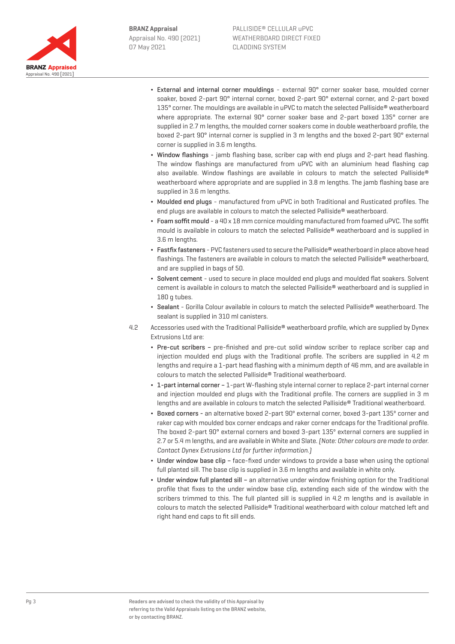

- External and internal corner mouldings external 90° corner soaker base, moulded corner soaker, boxed 2-part 90° internal corner, boxed 2-part 90° external corner, and 2-part boxed 135° corner. The mouldings are available in uPVC to match the selected Palliside® weatherboard where appropriate. The external 90° corner soaker base and 2-part boxed 135° corner are supplied in 2.7 m lengths, the moulded corner soakers come in double weatherboard profile, the boxed 2-part 90° internal corner is supplied in 3 m lengths and the boxed 2-part 90° external corner is supplied in 3.6 m lengths.
- Window flashings jamb flashing base, scriber cap with end plugs and 2-part head flashing. The window flashings are manufactured from uPVC with an aluminium head flashing cap also available. Window flashings are available in colours to match the selected Palliside® weatherboard where appropriate and are supplied in 3.8 m lengths. The jamb flashing base are supplied in 3.6 m lengths.
- ¬ Moulded end plugs manufactured from uPVC in both Traditional and Rusticated profiles. The end plugs are available in colours to match the selected Palliside® weatherboard.
- ¬ Foam soffit mould a 40 x 18 mm cornice moulding manufactured from foamed uPVC. The soffit mould is available in colours to match the selected Palliside® weatherboard and is supplied in 3.6 m lengths.
- ¬ Fastfix fasteners PVC fasteners used to secure the Palliside® weatherboard in place above head flashings. The fasteners are available in colours to match the selected Palliside® weatherboard, and are supplied in bags of 50.
- ¬ Solvent cement used to secure in place moulded end plugs and moulded flat soakers. Solvent cement is available in colours to match the selected Palliside® weatherboard and is supplied in 180 g tubes.
- ¬ Sealant Gorilla Colour available in colours to match the selected Palliside® weatherboard. The sealant is supplied in 310 ml canisters.
- 4.2 Accessories used with the Traditional Palliside® weatherboard profile, which are supplied by Dynex Extrusions Ltd are:
	- Pre-cut scribers pre-finished and pre-cut solid window scriber to replace scriber cap and injection moulded end plugs with the Traditional profile. The scribers are supplied in 4.2 m lengths and require a 1-part head flashing with a minimum depth of 46 mm, and are available in colours to match the selected Palliside® Traditional weatherboard.
	- ¬ 1-part internal corner 1-part W-flashing style internal corner to replace 2-part internal corner and injection moulded end plugs with the Traditional profile. The corners are supplied in 3 m lengths and are available in colours to match the selected Palliside® Traditional weatherboard.
	- ¬ Boxed corners an alternative boxed 2-part 90º external corner, boxed 3-part 135º corner and raker cap with moulded box corner endcaps and raker corner endcaps for the Traditional profile. The boxed 2-part 90° external corners and boxed 3-part 135º external corners are supplied in 2.7 or 5.4 m lengths, and are available in White and Slate. (Note: Other colours are made to order. Contact Dynex Extrusions Ltd for further information.)
	- ¬ Under window base clip face-fixed under windows to provide a base when using the optional full planted sill. The base clip is supplied in 3.6 m lengths and available in white only.
	- ¬ Under window full planted sill an alternative under window finishing option for the Traditional profile that fixes to the under window base clip, extending each side of the window with the scribers trimmed to this. The full planted sill is supplied in 4.2 m lengths and is available in colours to match the selected Palliside® Traditional weatherboard with colour matched left and right hand end caps to fit sill ends.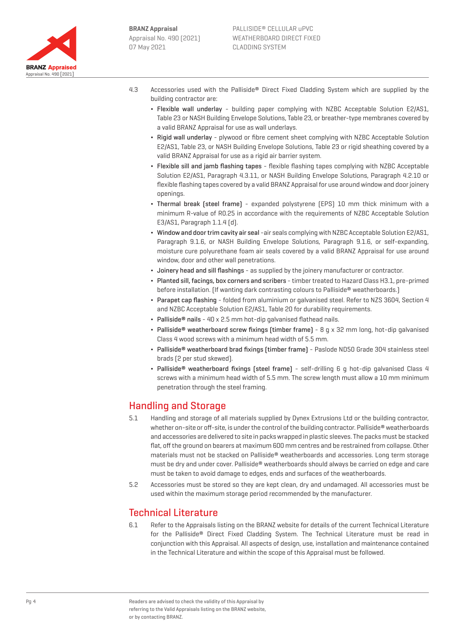

- 4.3 Accessories used with the Palliside® Direct Fixed Cladding System which are supplied by the building contractor are:
	- ¬ Flexible wall underlay building paper complying with NZBC Acceptable Solution E2/AS1, Table 23 or NASH Building Envelope Solutions, Table 23, or breather-type membranes covered by a valid BRANZ Appraisal for use as wall underlays.
	- ¬ Rigid wall underlay plywood or fibre cement sheet complying with NZBC Acceptable Solution E2/AS1, Table 23, or NASH Building Envelope Solutions, Table 23 or rigid sheathing covered by a valid BRANZ Appraisal for use as a rigid air barrier system.
	- ¬ Flexible sill and jamb flashing tapes flexible flashing tapes complying with NZBC Acceptable Solution E2/AS1, Paragraph 4.3.11, or NASH Building Envelope Solutions, Paragraph 4.2.10 or flexible flashing tapes covered by a valid BRANZ Appraisal for use around window and door joinery openings.
	- ¬ Thermal break (steel frame) expanded polystyrene (EPS) 10 mm thick minimum with a minimum R-value of R0.25 in accordance with the requirements of NZBC Acceptable Solution E3/AS1, Paragraph 1.1.4 (d).
	- ¬ Window and door trim cavity air seal -air seals complying with NZBC Acceptable Solution E2/AS1, Paragraph 9.1.6, or NASH Building Envelope Solutions, Paragraph 9.1.6, or self-expanding, moisture cure polyurethane foam air seals covered by a valid BRANZ Appraisal for use around window, door and other wall penetrations.
	- ¬ Joinery head and sill flashings as supplied by the joinery manufacturer or contractor.
	- ¬ Planted sill, facings, box corners and scribers timber treated to Hazard Class H3.1, pre-primed before installation. (If wanting dark contrasting colours to Palliside® weatherboards.)
	- ¬ Parapet cap flashing folded from aluminium or galvanised steel. Refer to NZS 3604, Section 4 and NZBC Acceptable Solution E2/AS1, Table 20 for durability requirements.
	- $\cdot$  Palliside<sup>®</sup> nails 40 x 2.5 mm hot-dip galvanised flathead nails.
	- Palliside<sup>®</sup> weatherboard screw fixings (timber frame) 8 g x 32 mm long, hot-dip galvanised Class 4 wood screws with a minimum head width of 5.5 mm.
	- ¬ Palliside® weatherboard brad fixings (timber frame) Paslode ND50 Grade 304 stainless steel brads (2 per stud skewed).
	- Palliside<sup>®</sup> weatherboard fixings (steel frame) self-drilling 6 q hot-dip qalvanised Class 4 screws with a minimum head width of 5.5 mm. The screw length must allow a 10 mm minimum penetration through the steel framing.

## Handling and Storage

- 5.1 Handling and storage of all materials supplied by Dynex Extrusions Ltd or the building contractor, whether on-site or off-site, is under the control of the building contractor. Palliside® weatherboards and accessories are delivered to site in packs wrapped in plastic sleeves. The packs must be stacked flat, off the ground on bearers at maximum 600 mm centres and be restrained from collapse. Other materials must not be stacked on Palliside® weatherboards and accessories. Long term storage must be dry and under cover. Palliside® weatherboards should always be carried on edge and care must be taken to avoid damage to edges, ends and surfaces of the weatherboards.
- 5.2 Accessories must be stored so they are kept clean, dry and undamaged. All accessories must be used within the maximum storage period recommended by the manufacturer.

## Technical Literature

6.1 Refer to the Appraisals listing on the BRANZ website for details of the current Technical Literature for the Palliside® Direct Fixed Cladding System. The Technical Literature must be read in conjunction with this Appraisal. All aspects of design, use, installation and maintenance contained in the Technical Literature and within the scope of this Appraisal must be followed.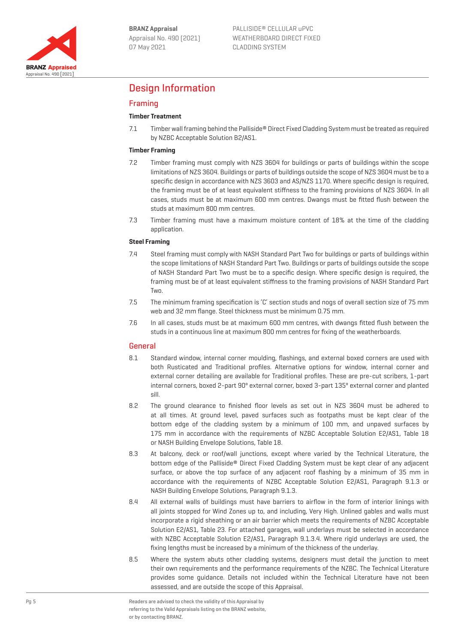

# Design Information

## Framing

### **Timber Treatment**

7.1 Timber wall framing behind the Palliside® Direct Fixed Cladding System must be treated as required by NZBC Acceptable Solution B2/AS1.

#### **Timber Framing**

- 7.2 Timber framing must comply with NZS 3604 for buildings or parts of buildings within the scope limitations of NZS 3604. Buildings or parts of buildings outside the scope of NZS 3604 must be to a specific design in accordance with NZS 3603 and AS/NZS 1170. Where specific design is required, the framing must be of at least equivalent stiffness to the framing provisions of NZS 3604. In all cases, studs must be at maximum 600 mm centres. Dwangs must be fitted flush between the studs at maximum 800 mm centres.
- 7.3 Timber framing must have a maximum moisture content of 18% at the time of the cladding application.

#### **Steel Framing**

- 7.4 Steel framing must comply with NASH Standard Part Two for buildings or parts of buildings within the scope limitations of NASH Standard Part Two. Buildings or parts of buildings outside the scope of NASH Standard Part Two must be to a specific design. Where specific design is required, the framing must be of at least equivalent stiffness to the framing provisions of NASH Standard Part **Two**.
- 7.5 The minimum framing specification is 'C' section studs and nogs of overall section size of 75 mm web and 32 mm flange. Steel thickness must be minimum 0.75 mm.
- 7.6 In all cases, studs must be at maximum 600 mm centres, with dwangs fitted flush between the studs in a continuous line at maximum 800 mm centres for fixing of the weatherboards.

#### General

- 8.1 Standard window, internal corner moulding, flashings, and external boxed corners are used with both Rusticated and Traditional profiles. Alternative options for window, internal corner and external corner detailing are available for Traditional profiles. These are pre-cut scribers, 1-part internal corners, boxed 2-part 90º external corner, boxed 3-part 135º external corner and planted sill.
- 8.2 The ground clearance to finished floor levels as set out in NZS 3604 must be adhered to at all times. At ground level, paved surfaces such as footpaths must be kept clear of the bottom edge of the cladding system by a minimum of 100 mm, and unpaved surfaces by 175 mm in accordance with the requirements of NZBC Acceptable Solution E2/AS1, Table 18 or NASH Building Envelope Solutions, Table 18.
- 8.3 At balcony, deck or roof/wall junctions, except where varied by the Technical Literature, the bottom edge of the Palliside® Direct Fixed Cladding System must be kept clear of any adjacent surface, or above the top surface of any adjacent roof flashing by a minimum of 35 mm in accordance with the requirements of NZBC Acceptable Solution E2/AS1, Paragraph 9.1.3 or NASH Building Envelope Solutions, Paragraph 9.1.3.
- 8.4 All external walls of buildings must have barriers to airflow in the form of interior linings with all joints stopped for Wind Zones up to, and including, Very High. Unlined gables and walls must incorporate a rigid sheathing or an air barrier which meets the requirements of NZBC Acceptable Solution E2/AS1, Table 23. For attached garages, wall underlays must be selected in accordance with NZBC Acceptable Solution E2/AS1, Paragraph 9.1.3.4. Where rigid underlays are used, the fixing lengths must be increased by a minimum of the thickness of the underlay.
- 8.5 Where the system abuts other cladding systems, designers must detail the junction to meet their own requirements and the performance requirements of the NZBC. The Technical Literature provides some guidance. Details not included within the Technical Literature have not been assessed, and are outside the scope of this Appraisal.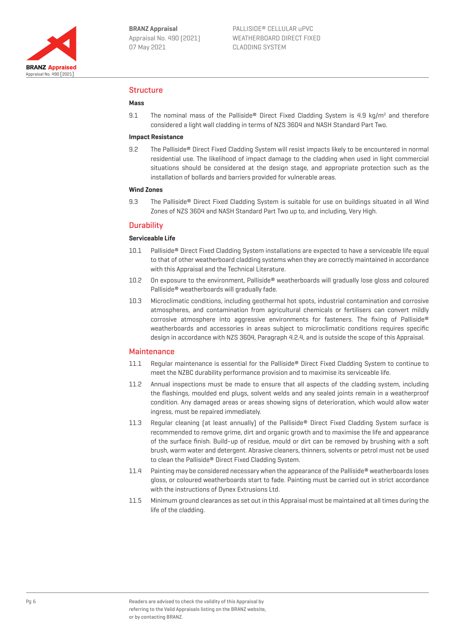

#### Structure

#### **Mass**

9.1 The nominal mass of the Palliside® Direct Fixed Cladding System is 4.9 kg/m<sup>2</sup> and therefore considered a light wall cladding in terms of NZS 3604 and NASH Standard Part Two.

#### **Impact Resistance**

9.2 The Palliside® Direct Fixed Cladding System will resist impacts likely to be encountered in normal residential use. The likelihood of impact damage to the cladding when used in light commercial situations should be considered at the design stage, and appropriate protection such as the installation of bollards and barriers provided for vulnerable areas.

#### **Wind Zones**

9.3 The Palliside® Direct Fixed Cladding System is suitable for use on buildings situated in all Wind Zones of NZS 3604 and NASH Standard Part Two up to, and including, Very High.

#### **Durability**

#### **Serviceable Life**

- 10.1 Palliside® Direct Fixed Cladding System installations are expected to have a serviceable life equal to that of other weatherboard cladding systems when they are correctly maintained in accordance with this Appraisal and the Technical Literature.
- 10.2 On exposure to the environment, Palliside® weatherboards will gradually lose gloss and coloured Palliside® weatherboards will gradually fade.
- 10.3 Microclimatic conditions, including geothermal hot spots, industrial contamination and corrosive atmospheres, and contamination from agricultural chemicals or fertilisers can convert mildly corrosive atmosphere into aggressive environments for fasteners. The fixing of Palliside® weatherboards and accessories in areas subject to microclimatic conditions requires specific design in accordance with NZS 3604, Paragraph 4.2.4, and is outside the scope of this Appraisal.

#### **Maintenance**

- 11.1 Reqular maintenance is essential for the Palliside® Direct Fixed Cladding System to continue to meet the NZBC durability performance provision and to maximise its serviceable life.
- 11.2 Annual inspections must be made to ensure that all aspects of the cladding system, including the flashings, moulded end plugs, solvent welds and any sealed joints remain in a weatherproof condition. Any damaged areas or areas showing signs of deterioration, which would allow water ingress, must be repaired immediately.
- 11.3 Regular cleaning (at least annually) of the Palliside® Direct Fixed Cladding System surface is recommended to remove grime, dirt and organic growth and to maximise the life and appearance of the surface finish. Build-up of residue, mould or dirt can be removed by brushing with a soft brush, warm water and detergent. Abrasive cleaners, thinners, solvents or petrol must not be used to clean the Palliside® Direct Fixed Cladding System.
- 11.4 Painting may be considered necessary when the appearance of the Palliside® weatherboards loses gloss, or coloured weatherboards start to fade. Painting must be carried out in strict accordance with the instructions of Dynex Extrusions Ltd.
- 11.5 Minimum ground clearances as set out in this Appraisal must be maintained at all times during the life of the cladding.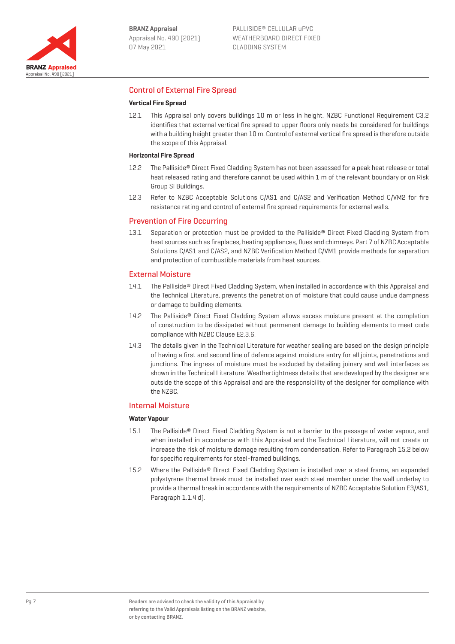

## Control of External Fire Spread

#### **Vertical Fire Spread**

12.1 This Appraisal only covers buildings 10 m or less in height. NZBC Functional Requirement C3.2 identifies that external vertical fire spread to upper floors only needs be considered for buildings with a building height greater than 10 m. Control of external vertical fire spread is therefore outside the scope of this Appraisal.

#### **Horizontal Fire Spread**

- 12.2 The Palliside® Direct Fixed Cladding System has not been assessed for a peak heat release or total heat released rating and therefore cannot be used within 1 m of the relevant boundary or on Risk Group SI Buildings.
- 12.3 Refer to NZBC Acceptable Solutions C/AS1 and C/AS2 and Verification Method C/VM2 for fire resistance rating and control of external fire spread requirements for external walls.

#### Prevention of Fire Occurring

13.1 Separation or protection must be provided to the Palliside® Direct Fixed Cladding System from heat sources such as fireplaces, heating appliances, flues and chimneys. Part 7 of NZBC Acceptable Solutions C/AS1 and C/AS2, and NZBC Verification Method C/VM1 provide methods for separation and protection of combustible materials from heat sources.

#### External Moisture

- 14.1 The Palliside® Direct Fixed Cladding System, when installed in accordance with this Appraisal and the Technical Literature, prevents the penetration of moisture that could cause undue dampness or damage to building elements.
- 14.2 The Palliside® Direct Fixed Cladding System allows excess moisture present at the completion of construction to be dissipated without permanent damage to building elements to meet code compliance with NZBC Clause E2.3.6.
- 14.3 The details given in the Technical Literature for weather sealing are based on the design principle of having a first and second line of defence against moisture entry for all joints, penetrations and junctions. The ingress of moisture must be excluded by detailing joinery and wall interfaces as shown in the Technical Literature. Weathertightness details that are developed by the designer are outside the scope of this Appraisal and are the responsibility of the designer for compliance with the NZBC.

#### Internal Moisture

#### **Water Vapour**

- 15.1 The Palliside® Direct Fixed Cladding System is not a barrier to the passage of water vapour, and when installed in accordance with this Appraisal and the Technical Literature, will not create or increase the risk of moisture damage resulting from condensation. Refer to Paragraph 15.2 below for specific requirements for steel-framed buildings.
- 15.2 Where the Palliside® Direct Fixed Cladding System is installed over a steel frame, an expanded polystyrene thermal break must be installed over each steel member under the wall underlay to provide a thermal break in accordance with the requirements of NZBC Acceptable Solution E3/AS1, Paragraph 1.1.4 d).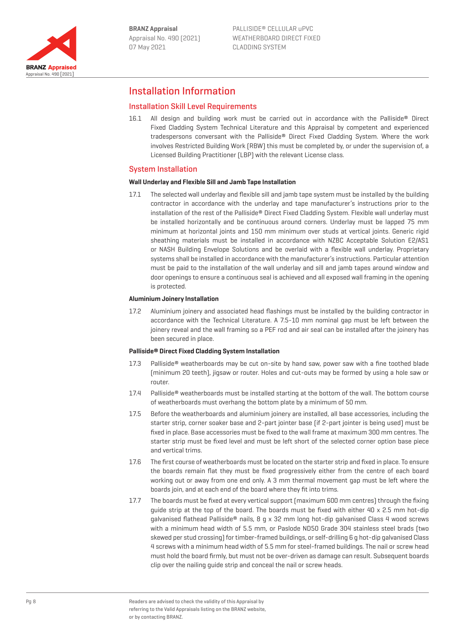

# Installation Information

## Installation Skill Level Requirements

16.1 All design and building work must be carried out in accordance with the Palliside® Direct Fixed Cladding System Technical Literature and this Appraisal by competent and experienced tradespersons conversant with the Palliside® Direct Fixed Cladding System. Where the work involves Restricted Building Work (RBW) this must be completed by, or under the supervision of, a Licensed Building Practitioner (LBP) with the relevant License class.

### System Installation

#### **Wall Underlay and Flexible Sill and Jamb Tape Installation**

17.1 The selected wall underlay and flexible sill and jamb tape system must be installed by the building contractor in accordance with the underlay and tape manufacturer's instructions prior to the installation of the rest of the Palliside® Direct Fixed Cladding System. Flexible wall underlay must be installed horizontally and be continuous around corners. Underlay must be lapped 75 mm minimum at horizontal joints and 150 mm minimum over studs at vertical joints. Generic rigid sheathing materials must be installed in accordance with NZBC Acceptable Solution E2/AS1 or NASH Building Envelope Solutions and be overlaid with a flexible wall underlay. Proprietary systems shall be installed in accordance with the manufacturer's instructions. Particular attention must be paid to the installation of the wall underlay and sill and jamb tapes around window and door openings to ensure a continuous seal is achieved and all exposed wall framing in the opening is protected.

#### **Aluminium Joinery Installation**

17.2 Aluminium joinery and associated head flashings must be installed by the building contractor in accordance with the Technical Literature. A 7.5-10 mm nominal gap must be left between the joinery reveal and the wall framing so a PEF rod and air seal can be installed after the joinery has been secured in place.

#### **Palliside® Direct Fixed Cladding System Installation**

- 17.3 Palliside<sup>®</sup> weatherboards may be cut on-site by hand saw, power saw with a fine toothed blade (minimum 20 teeth), jigsaw or router. Holes and cut-outs may be formed by using a hole saw or router.
- 17.4 Palliside® weatherboards must be installed starting at the bottom of the wall. The bottom course of weatherboards must overhang the bottom plate by a minimum of 50 mm.
- 17.5 Before the weatherboards and aluminium joinery are installed, all base accessories, including the starter strip, corner soaker base and 2-part jointer base (if 2-part jointer is being used) must be fixed in place. Base accessories must be fixed to the wall frame at maximum 300 mm centres. The starter strip must be fixed level and must be left short of the selected corner option base piece and vertical trims.
- 17.6 The first course of weatherboards must be located on the starter strip and fixed in place. To ensure the boards remain flat they must be fixed progressively either from the centre of each board working out or away from one end only. A 3 mm thermal movement gap must be left where the boards join, and at each end of the board where they fit into trims.
- 17.7 The boards must be fixed at every vertical support (maximum 600 mm centres) through the fixing guide strip at the top of the board. The boards must be fixed with either 40 x 2.5 mm hot-dip galvanised flathead Palliside® nails,  $8$  g x 32 mm long hot-dip galvanised Class 4 wood screws with a minimum head width of 5.5 mm, or Paslode ND50 Grade 304 stainless steel brads (two skewed per stud crossing) for timber-framed buildings, or self-drilling 6 g hot-dip galvanised Class 4 screws with a minimum head width of 5.5 mm for steel-framed buildings. The nail or screw head must hold the board firmly, but must not be over-driven as damage can result. Subsequent boards clip over the nailing guide strip and conceal the nail or screw heads.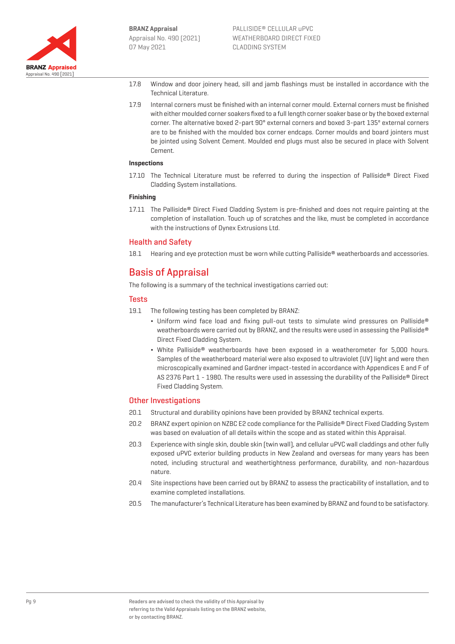

- 17.8 Window and door joinery head, sill and jamb flashings must be installed in accordance with the Technical Literature.
- 17.9 Internal corners must be finished with an internal corner mould. External corners must be finished with either moulded corner soakers fixed to a full length corner soaker base or by the boxed external corner. The alternative boxed 2-part 90° external corners and boxed 3-part 135º external corners are to be finished with the moulded box corner endcaps. Corner moulds and board jointers must be jointed using Solvent Cement. Moulded end plugs must also be secured in place with Solvent Cement.

#### **Inspections**

17.10 The Technical Literature must be referred to during the inspection of Palliside® Direct Fixed Cladding System installations.

#### **Finishing**

17.11 The Palliside® Direct Fixed Cladding System is pre-finished and does not require painting at the completion of installation. Touch up of scratches and the like, must be completed in accordance with the instructions of Dynex Extrusions Ltd.

#### Health and Safety

18.1 Hearing and eye protection must be worn while cutting Palliside® weatherboards and accessories.

# Basis of Appraisal

The following is a summary of the technical investigations carried out:

### Tests

- 19.1 The following testing has been completed by BRANZ:
	- ¬ Uniform wind face load and fixing pull-out tests to simulate wind pressures on Palliside® weatherboards were carried out by BRANZ, and the results were used in assessing the Palliside® Direct Fixed Cladding System.
	- ¬ White Palliside® weatherboards have been exposed in a weatherometer for 5,000 hours. Samples of the weatherboard material were also exposed to ultraviolet (UV) light and were then microscopically examined and Gardner impact-tested in accordance with Appendices E and F of AS 2376 Part 1 - 1980. The results were used in assessing the durability of the Palliside® Direct Fixed Cladding System.

### Other Investigations

- 20.1 Structural and durability opinions have been provided by BRANZ technical experts.
- 20.2 BRANZ expert opinion on NZBC E2 code compliance for the Palliside® Direct Fixed Cladding System was based on evaluation of all details within the scope and as stated within this Appraisal.
- 20.3 Experience with single skin, double skin (twin wall), and cellular uPVC wall claddings and other fully exposed uPVC exterior building products in New Zealand and overseas for many years has been noted, including structural and weathertightness performance, durability, and non-hazardous nature.
- 20.4 Site inspections have been carried out by BRANZ to assess the practicability of installation, and to examine completed installations.
- 20.5 The manufacturer's Technical Literature has been examined by BRANZ and found to be satisfactory.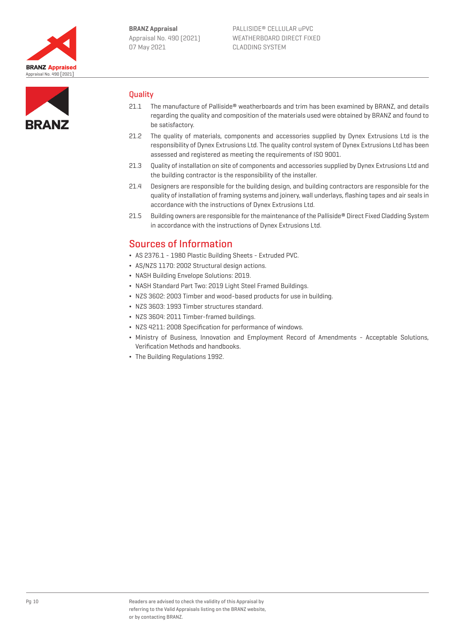



### **Quality**

- 21.1 The manufacture of Palliside® weatherboards and trim has been examined by BRANZ, and details regarding the quality and composition of the materials used were obtained by BRANZ and found to be satisfactory.
- 21.2 The quality of materials, components and accessories supplied by Dynex Extrusions Ltd is the responsibility of Dynex Extrusions Ltd. The quality control system of Dynex Extrusions Ltd has been assessed and registered as meeting the requirements of ISO 9001.
- 21.3 Quality of installation on site of components and accessories supplied by Dynex Extrusions Ltd and the building contractor is the responsibility of the installer.
- 21.4 Designers are responsible for the building design, and building contractors are responsible for the quality of installation of framing systems and joinery, wall underlays, flashing tapes and air seals in accordance with the instructions of Dynex Extrusions Ltd.
- 21.5 Building owners are responsible for the maintenance of the Palliside® Direct Fixed Cladding System in accordance with the instructions of Dynex Extrusions Ltd.

## Sources of Information

- ¬ AS 2376.1 1980 Plastic Building Sheets Extruded PVC.
- ¬ AS/NZS 1170: 2002 Structural design actions.
- ¬ NASH Building Envelope Solutions: 2019.
- ¬ NASH Standard Part Two: 2019 Light Steel Framed Buildings.
- ¬ NZS 3602: 2003 Timber and wood-based products for use in building.
- ¬ NZS 3603: 1993 Timber structures standard.
- ¬ NZS 3604: 2011 Timber-framed buildings.
- ¬ NZS 4211: 2008 Specification for performance of windows.
- ¬ Ministry of Business, Innovation and Employment Record of Amendments Acceptable Solutions, Verification Methods and handbooks.
- ¬ The Building Regulations 1992.